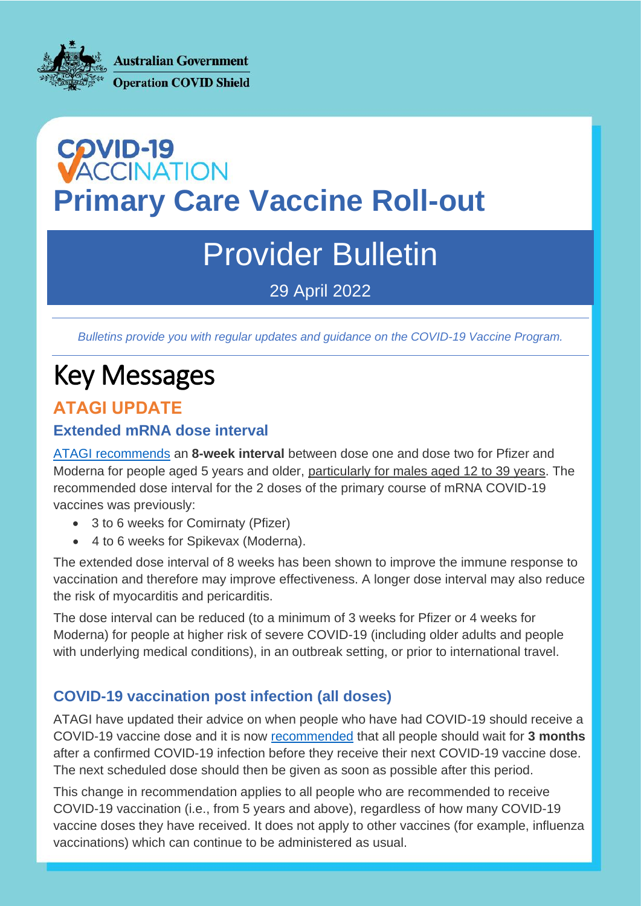**Australian Government Operation COVID Shield** 

# **COVID-19<br>VACCINATION Primary Care Vaccine Roll-out**

## Provider Bulletin

29 April 2022

*Bulletins provide you with regular updates and guidance on the COVID-19 Vaccine Program.*

## Key Messages

## **ATAGI UPDATE**

#### **Extended mRNA dose interval**

[ATAGI recommends](https://www.health.gov.au/news/atagi-update-following-weekly-covid-19-meeting-27-april-2022) an **8-week interval** between dose one and dose two for Pfizer and Moderna for people aged 5 years and older, particularly for males aged 12 to 39 years. The recommended dose interval for the 2 doses of the primary course of mRNA COVID-19 vaccines was previously:

- 3 to 6 weeks for Comirnaty (Pfizer)
- 4 to 6 weeks for Spikevax (Moderna).

The extended dose interval of 8 weeks has been shown to improve the immune response to vaccination and therefore may improve effectiveness. A longer dose interval may also reduce the risk of myocarditis and pericarditis.

The dose interval can be reduced (to a minimum of 3 weeks for Pfizer or 4 weeks for Moderna) for people at higher risk of severe COVID-19 (including older adults and people with underlying medical conditions), in an outbreak setting, or prior to international travel.

#### **COVID-19 vaccination post infection (all doses)**

ATAGI have updated their advice on when people who have had COVID-19 should receive a COVID-19 vaccine dose and it is now [recommended](https://www.health.gov.au/news/atagi-update-following-weekly-covid-19-meeting-27-april-2022) that all people should wait for **3 months**  after a confirmed COVID-19 infection before they receive their next COVID-19 vaccine dose. The next scheduled dose should then be given as soon as possible after this period.

This change in recommendation applies to all people who are recommended to receive COVID-19 vaccination (i.e., from 5 years and above), regardless of how many COVID-19 vaccine doses they have received. It does not apply to other vaccines (for example, influenza vaccinations) which can continue to be administered as usual.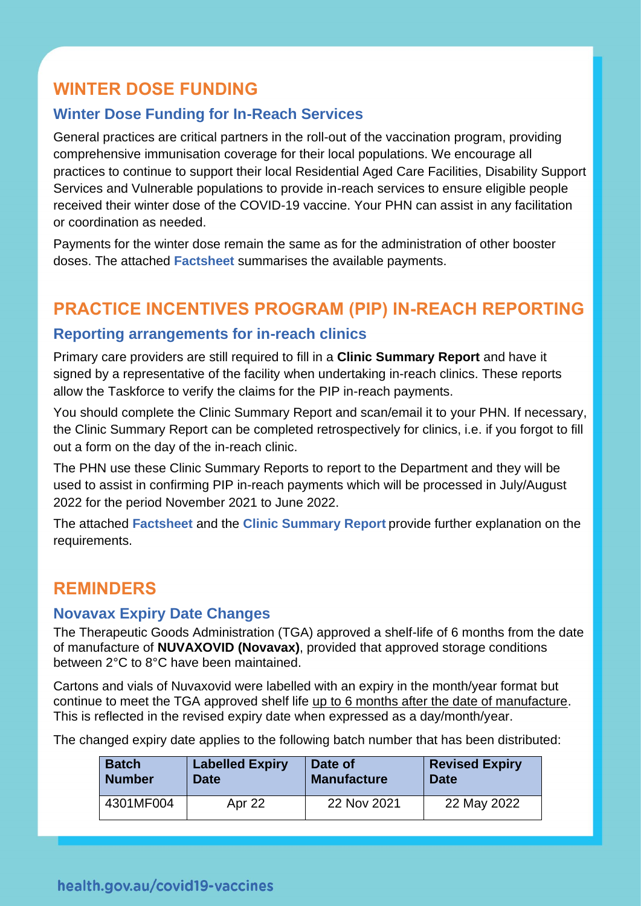## **WINTER DOSE FUNDING**

#### **Winter Dose Funding for In-Reach Services**

General practices are critical partners in the roll-out of the vaccination program, providing comprehensive immunisation coverage for their local populations. We encourage all practices to continue to support their local Residential Aged Care Facilities, Disability Support Services and Vulnerable populations to provide in-reach services to ensure eligible people received their winter dose of the COVID-19 vaccine. Your PHN can assist in any facilitation or coordination as needed.

Payments for the winter dose remain the same as for the administration of other booster doses. The attached **Factsheet** summarises the available payments.

## **PRACTICE INCENTIVES PROGRAM (PIP) IN-REACH REPORTING**

#### **Reporting arrangements for in-reach clinics**

Primary care providers are still required to fill in a **Clinic Summary Report** and have it signed by a representative of the facility when undertaking in-reach clinics. These reports allow the Taskforce to verify the claims for the PIP in-reach payments.

You should complete the Clinic Summary Report and scan/email it to your PHN. If necessary, the Clinic Summary Report can be completed retrospectively for clinics, i.e. if you forgot to fill out a form on the day of the in-reach clinic.

The PHN use these Clinic Summary Reports to report to the Department and they will be used to assist in confirming PIP in-reach payments which will be processed in July/August 2022 for the period November 2021 to June 2022.

The attached **Factsheet** and the **Clinic Summary Report** provide further explanation on the requirements.

### **REMINDERS**

#### **Novavax Expiry Date Changes**

The Therapeutic Goods Administration (TGA) approved a shelf-life of 6 months from the date of manufacture of **NUVAXOVID (Novavax)**, provided that approved storage conditions between 2°C to 8°C have been maintained.

Cartons and vials of Nuvaxovid were labelled with an expiry in the month/year format but continue to meet the TGA approved shelf life up to 6 months after the date of manufacture. This is reflected in the revised expiry date when expressed as a day/month/year.

The changed expiry date applies to the following batch number that has been distributed:

| <b>Batch</b>  | <b>Labelled Expiry</b> | Date of            | <b>Revised Expiry</b> |
|---------------|------------------------|--------------------|-----------------------|
| <b>Number</b> | Date                   | <b>Manufacture</b> | <b>Date</b>           |
| 4301MF004     | Apr 22                 | 22 Nov 2021        | 22 May 2022           |